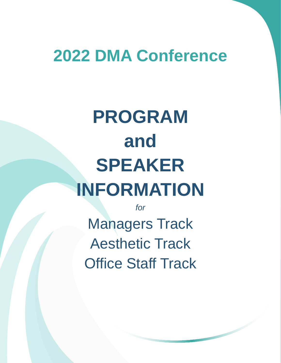# **2022 DMA Conference**

# **PROGRAM and SPEAKER INFORMATION**

*for* Managers Track Aesthetic Track Office Staff Track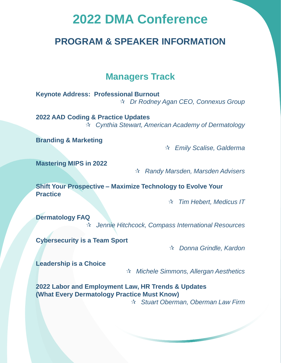# **2022 DMA Conference**

# **PROGRAM & SPEAKER INFORMATION**

# **Managers Track**

**Keynote Address: Professional Burnout** *Dr Rodney Agan CEO, Connexus Group*

**2022 AAD Coding & Practice Updates** *Cynthia Stewart, American Academy of Dermatology*

**Branding & Marketing**

*Emily Scalise, Galderma*

**Mastering MIPS in 2022**

*Randy Marsden, Marsden Advisers*

**Shift Your Prospective – Maximize Technology to Evolve Your Practice**

*Tim Hebert, Medicus IT*

**Dermatology FAQ**

*Jennie Hitchcock, Compass International Resources*

**Cybersecurity is a Team Sport**

*Donna Grindle, Kardon*

**Leadership is a Choice**

*Michele Simmons, Allergan Aesthetics*

**2022 Labor and Employment Law, HR Trends & Updates (What Every Dermatology Practice Must Know)** *Stuart Oberman, Oberman Law Firm*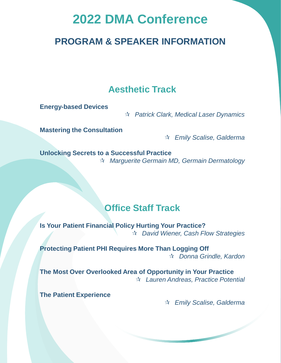# **2022 DMA Conference**

# **PROGRAM & SPEAKER INFORMATION**

# **Aesthetic Track**

**Energy-based Devices** 

*Patrick Clark, Medical Laser Dynamics*

**Mastering the Consultation**

*Emily Scalise, Galderma*

**Unlocking Secrets to a Successful Practice** *Marguerite Germain MD, Germain Dermatology*

# **Office Staff Track**

**Is Your Patient Financial Policy Hurting Your Practice?** *David Wiener, Cash Flow Strategies*

**Protecting Patient PHI Requires More Than Logging Off** *Donna Grindle, Kardon* 

**The Most Over Overlooked Area of Opportunity in Your Practice** *Lauren Andreas, Practice Potential* 

**The Patient Experience**

*Emily Scalise, Galderma*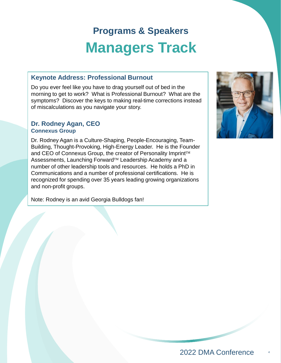#### **Keynote Address: Professional Burnout**

Do you ever feel like you have to drag yourself out of bed in the morning to get to work? What is Professional Burnout? What are the symptoms? Discover the keys to making real-time corrections instead of miscalculations as you navigate your story.

#### **Dr. Rodney Agan, CEO Connexus Group**

Dr. Rodney Agan is a Culture-Shaping, People-Encouraging, Team-Building, Thought-Provoking, High-Energy Leader. He is the Founder and CEO of Connexus Group, the creator of Personality Imprint<sup>TM</sup> Assessments, Launching Forward<sup>™</sup> Leadership Academy and a number of other leadership tools and resources. He holds a PhD in Communications and a number of professional certifications. He is recognized for spending over 35 years leading growing organizations and non-profit groups.

Note: Rodney is an avid Georgia Bulldogs fan!

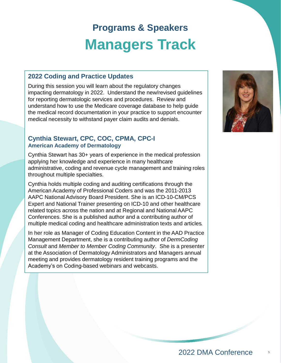### **2022 Coding and Practice Updates**

During this session you will learn about the regulatory changes impacting dermatology in 2022. Understand the new/revised guidelines for reporting dermatologic services and procedures. Review and understand how to use the Medicare coverage database to help guide the medical record documentation in your practice to support encounter medical necessity to withstand payer claim audits and denials.

#### **Cynthia Stewart, CPC, COC, CPMA, CPC-I American Academy of Dermatology**

Cynthia Stewart has 30+ years of experience in the medical profession applying her knowledge and experience in many healthcare administrative, coding and revenue cycle management and training roles throughout multiple specialties.

Cynthia holds multiple coding and auditing certifications through the American Academy of Professional Coders and was the 2011-2013 AAPC National Advisory Board President. She is an ICD-10-CM/PCS Expert and National Trainer presenting on ICD-10 and other healthcare related topics across the nation and at Regional and National AAPC Conferences. She is a published author and a contributing author of multiple medical coding and healthcare administration texts and articles*.* 

In her role as Manager of Coding Education Content in the AAD Practice Management Department, she is a contributing author of *DermCoding Consult* and *Member to Member Coding Community*. She is a presenter at the Association of Dermatology Administrators and Managers annual meeting and provides dermatology resident training programs and the Academy's on Coding-based webinars and webcasts.

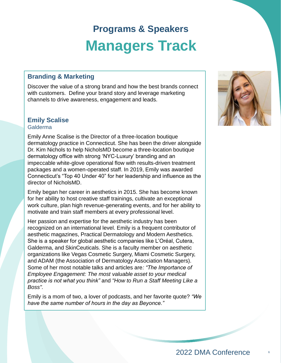### **Branding & Marketing**

Discover the value of a strong brand and how the best brands connect with customers. Define your brand story and leverage marketing channels to drive awareness, engagement and leads.

# **Emily Scalise**

#### Galderma

Emily Anne Scalise is the Director of a three-location boutique dermatology practice in Connecticut. She has been the driver alongside Dr. Kim Nichols to help NicholsMD become a three-location boutique dermatology office with strong 'NYC-Luxury' branding and an impeccable white-glove operational flow with results-driven treatment packages and a women-operated staff. In 2019, Emily was awarded Connecticut's "Top 40 Under 40" for her leadership and influence as the director of NicholsMD.

Emily began her career in aesthetics in 2015. She has become known for her ability to host creative staff trainings, cultivate an exceptional work culture, plan high revenue-generating events, and for her ability to motivate and train staff members at every professional level.

Her passion and expertise for the aesthetic industry has been recognized on an international level. Emily is a frequent contributor of aesthetic magazines, Practical Dermatology and Modern Aesthetics. She is a speaker for global aesthetic companies like L'Oréal, Cutera, Galderma, and SkinCeuticals. She is a faculty member on aesthetic organizations like Vegas Cosmetic Surgery, Miami Cosmetic Surgery, and ADAM (the Association of Dermatology Association Managers). Some of her most notable talks and articles are*: "The Importance of Employee Engagement: The most valuable asset to your medical practice is not what you think"* and *"How to Run a Staff Meeting Like a Boss".* 

Emily is a mom of two, a lover of podcasts, and her favorite quote? *"We have the same number of hours in the day as Beyonce."* 

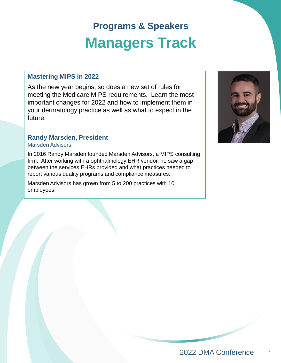# **Mastering MIPS in 2022**

As the new year begins, so does a new set of rules for meeting the Medicare MIPS requirements. Learn the most important changes for 2022 and how to implement them in your dermatology practice as well as what to expect in the future.

# **Randy Marsden, President**

#### Marsden Advisors

In 2016 Randy Marsden founded Marsden Advisors, a MIPS consulting firm. After working with a ophthalmology EHR vendor, he saw a gap between the services EHRs provided and what practices needed to report various quality programs and compliance measures.

Marsden Advisors has grown from 5 to 200 practices with 10 employees.

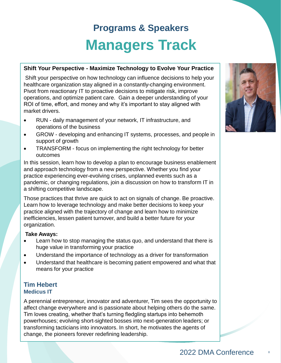#### **Shift Your Perspective - Maximize Technology to Evolve Your Practice**

Shift your perspective on how technology can influence decisions to help your healthcare organization stay aligned in a constantly-changing environment. Pivot from reactionary IT to proactive decisions to mitigate risk, improve operations, and optimize patient care. Gain a deeper understanding of your ROI of time, effort, and money and why it's important to stay aligned with market drivers.

- RUN daily management of your network, IT infrastructure, and operations of the business
- GROW developing and enhancing IT systems, processes, and people in support of growth
- TRANSFORM focus on implementing the right technology for better outcomes

In this session, learn how to develop a plan to encourage business enablement and approach technology from a new perspective. Whether you find your practice experiencing ever-evolving crises, unplanned events such as a pandemic, or changing regulations, join a discussion on how to transform IT in a shifting competitive landscape.

Those practices that thrive are quick to act on signals of change. Be proactive. Learn how to leverage technology and make better decisions to keep your practice aligned with the trajectory of change and learn how to minimize inefficiencies, lessen patient turnover, and build a better future for your organization.

#### **Take Aways:**

- Learn how to stop managing the status quo, and understand that there is huge value in transforming your practice
- Understand the importance of technology as a driver for transformation
- Understand that healthcare is becoming patient empowered and what that means for your practice

#### **Tim Hebert Medicus IT**

A perennial entrepreneur, innovator and adventurer, Tim sees the opportunity to affect change everywhere and is passionate about helping others do the same. Tim loves creating, whether that's turning fledgling startups into behemoth powerhouses; evolving short-sighted bosses into next-generation leaders; or transforming tacticians into innovators. In short, he motivates the agents of change, the pioneers forever redefining leadership.

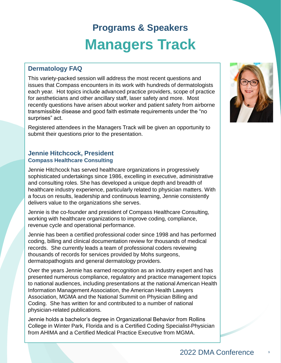### **Dermatology FAQ**

This variety-packed session will address the most recent questions and issues that Compass encounters in its work with hundreds of dermatologists each year. Hot topics include advanced practice providers, scope of practice for aestheticians and other ancillary staff, laser safety and more. Most recently questions have arisen about worker and patient safety from airborne transmissible disease and good faith estimate requirements under the "no surprises" act.

Registered attendees in the Managers Track will be given an opportunity to submit their questions prior to the presentation.

# **Jennie Hitchcock, President Compass Healthcare Consulting**

Jennie Hitchcock has served healthcare organizations in progressively sophisticated undertakings since 1986, excelling in executive, administrative and consulting roles. She has developed a unique depth and breadth of healthcare industry experience, particularly related to physician matters. With a focus on results, leadership and continuous learning, Jennie consistently delivers value to the organizations she serves.

Jennie is the co-founder and president of Compass Healthcare Consulting, working with healthcare organizations to improve coding, compliance, revenue cycle and operational performance.

Jennie has been a certified professional coder since 1998 and has performed coding, billing and clinical documentation review for thousands of medical records. She currently leads a team of professional coders reviewing thousands of records for services provided by Mohs surgeons, dermatopathogists and general dermatology providers.

Over the years Jennie has earned recognition as an industry expert and has presented numerous compliance, regulatory and practice management topics to national audiences, including presentations at the national American Health Information Management Association, the American Health Lawyers Association, MGMA and the National Summit on Physician Billing and Coding. She has written for and contributed to a number of national physician-related publications.

Jennie holds a bachelor's degree in Organizational Behavior from Rollins College in Winter Park, Florida and is a Certified Coding Specialist-Physician from AHIMA and a Certified Medical Practice Executive from MGMA.

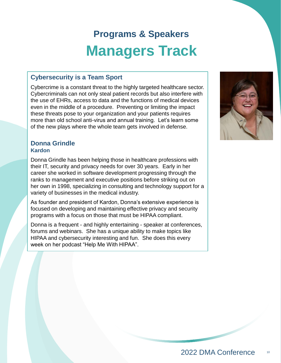# **Cybersecurity is a Team Sport**

Cybercrime is a constant threat to the highly targeted healthcare sector. Cybercriminals can not only steal patient records but also interfere with the use of EHRs, access to data and the functions of medical devices even in the middle of a procedure. Preventing or limiting the impact these threats pose to your organization and your patients requires more than old school anti-virus and annual training. Let's learn some of the new plays where the whole team gets involved in defense.

#### **Donna Grindle Kardon**

Donna Grindle has been helping those in healthcare professions with their IT, security and privacy needs for over 30 years. Early in her career she worked in software development progressing through the ranks to management and executive positions before striking out on her own in 1998, specializing in consulting and technology support for a variety of businesses in the medical industry.

As founder and president of Kardon, Donna's extensive experience is focused on developing and maintaining effective privacy and security programs with a focus on those that must be HIPAA compliant.

Donna is a frequent - and highly entertaining - speaker at conferences, forums and webinars. She has a unique ability to make topics like HIPAA and cybersecurity interesting and fun. She does this every week on her podcast "Help Me With HIPAA".

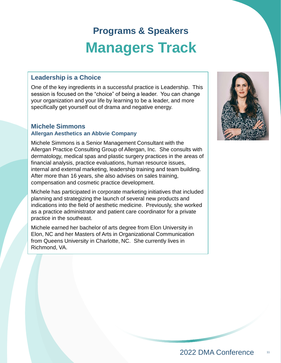# **Leadership is a Choice**

One of the key ingredients in a successful practice is Leadership. This session is focused on the "choice" of being a leader. You can change your organization and your life by learning to be a leader, and more specifically get yourself out of drama and negative energy.

#### **Michele Simmons Allergan Aesthetics an Abbvie Company**

Michele Simmons is a Senior Management Consultant with the Allergan Practice Consulting Group of Allergan, Inc. She consults with dermatology, medical spas and plastic surgery practices in the areas of financial analysis, practice evaluations, human resource issues, internal and external marketing, leadership training and team building. After more than 16 years, she also advises on sales training, compensation and cosmetic practice development.

Michele has participated in corporate marketing initiatives that included planning and strategizing the launch of several new products and indications into the field of aesthetic medicine. Previously, she worked as a practice administrator and patient care coordinator for a private practice in the southeast.

Michele earned her bachelor of arts degree from Elon University in Elon, NC and her Masters of Arts in Organizational Communication from Queens University in Charlotte, NC. She currently lives in Richmond, VA.

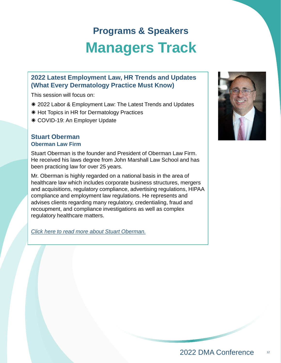# **2022 Latest Employment Law, HR Trends and Updates (What Every Dermatology Practice Must Know)**

This session will focus on:

- **\*** 2022 Labor & Employment Law: The Latest Trends and Updates
- \* Hot Topics in HR for Dermatology Practices
- COVID-19: An Employer Update

#### **Stuart Oberman Oberman Law Firm**

Stuart Oberman is the founder and President of Oberman Law Firm. He received his laws degree from John Marshall Law School and has been practicing law for over 25 years.

Mr. Oberman is highly regarded on a national basis in the area of healthcare law which includes corporate business structures, mergers and acquisitions, regulatory compliance, advertising regulations, HIPAA compliance and employment law regulations. He represents and advises clients regarding many regulatory, credentialing, fraud and recoupment, and compliance investigations as well as complex regulatory healthcare matters.

*[Click here to read more about Stuart Oberman.](S Oberman/Stuart Bio and Headshot.pdf)*

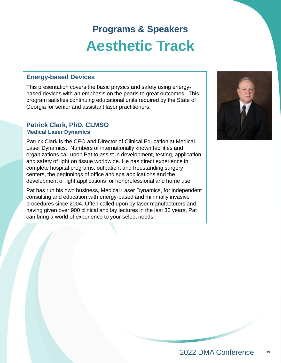# **Programs & Speakers Aesthetic Track**

### **Energy-based Devices**

This presentation covers the basic physics and safety using energybased devices with an emphasis on the pearls to great outcomes. This program satisfies continuing educational units required by the State of Georgia for senior and assistant laser practitioners.

#### **Patrick Clark, PhD, CLMSO Medical Laser Dynamics**

Patrick Clark is the CEO and Director of Clinical Education at Medical Laser Dynamics. Numbers of internationally known facilities and organizations call upon Pat to assist in development, testing, application and safety of light on tissue worldwide. He has direct experience in complete hospital programs, outpatient and freestanding surgery centers, the beginnings of office and spa applications and the development of light applications for nonprofessional and home use.

Pat has run his own business, Medical Laser Dynamics, for independent consulting and education with energy-based and minimally invasive procedures since 2004. Often called upon by laser manufacturers and having given over 900 clinical and lay lectures in the last 30 years, Pat can bring a world of experience to your select needs.

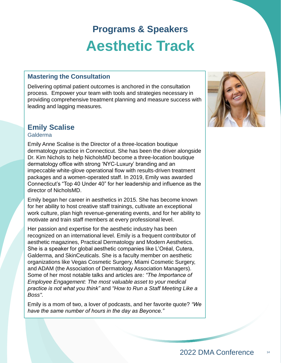# **Programs & Speakers Aesthetic Track**

#### **Mastering the Consultation Mastering the Consultation**

Delivering optimal patient outcomes is anchored in the consultation process. Empower your team with tools and strategies necessary in providing comprehensive treatment planning and measure success with leading and lagging measures.

# **Emily Scalise**

#### Galderma

Emily Anne Scalise is the Director of a three-location boutique dermatology practice in Connecticut. She has been the driver alongside Dr. Kim Nichols to help NicholsMD become a three-location boutique dermatology office with strong 'NYC-Luxury' branding and an impeccable white-glove operational flow with results-driven treatment packages and a women-operated staff. In 2019, Emily was awarded Connecticut's "Top 40 Under 40" for her leadership and influence as the director of NicholsMD.

Emily began her career in aesthetics in 2015. She has become known for her ability to host creative staff trainings, cultivate an exceptional work culture, plan high revenue-generating events, and for her ability to motivate and train staff members at every professional level.

Her passion and expertise for the aesthetic industry has been recognized on an international level. Emily is a frequent contributor of aesthetic magazines, Practical Dermatology and Modern Aesthetics. She is a speaker for global aesthetic companies like L'Oréal, Cutera, Galderma, and SkinCeuticals. She is a faculty member on aesthetic organizations like Vegas Cosmetic Surgery, Miami Cosmetic Surgery, and ADAM (the Association of Dermatology Association Managers). Some of her most notable talks and articles are*: "The Importance of Employee Engagement: The most valuable asset to your medical practice is not what you think"* and *"How to Run a Staff Meeting Like a Boss".* 

Emily is a mom of two, a lover of podcasts, and her favorite quote? *"We have the same number of hours in the day as Beyonce."*

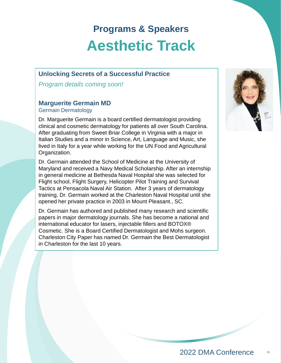# **Programs & Speakers Aesthetic Track**

# **Unlocking Secrets of a Successful Practice**

*Program details coming soon!*

# **Marguerite Germain MD**

Germain Dermatology

Dr. Marguerite Germain is a board certified dermatologist providing clinical and cosmetic dermatology for patients all over South Carolina. After graduating from Sweet Briar College in Virginia with a major in Italian Studies and a minor in Science, Art, Language and Music, she lived in Italy for a year while working for the UN Food and Agricultural Organization.

Dr. Germain attended the School of Medicine at the University of Maryland and received a Navy Medical Scholarship. After an internship in general medicine at Bethesda Naval Hospital she was selected for Flight school, Flight Surgery, Helicopter Pilot Training and Survival Tactics at Pensacola Naval Air Station. After 3 years of dermatology training, Dr. Germain worked at the Charleston Naval Hospital until she opened her private practice in 2003 in Mount Pleasant., SC.

Dr. Germain has authored and published many research and scientific papers in major dermatology journals. She has become a national and international educator for lasers, injectable fillers and BOTOX® Cosmetic. She is a Board Certified Dermatologist and Mohs surgeon. Charleston City Paper has named Dr. Germain the Best Dermatologist in Charleston for the last 10 years.

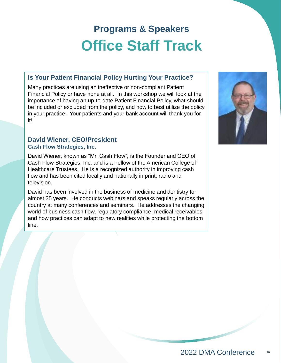# **Is Your Patient Financial Policy Hurting Your Practice?**

Many practices are using an ineffective or non-compliant Patient Financial Policy or have none at all. In this workshop we will look at the importance of having an up-to-date Patient Financial Policy, what should be included or excluded from the policy, and how to best utilize the policy in your practice. Your patients and your bank account will thank you for it!

#### **David Wiener, CEO/President Cash Flow Strategies, Inc.**

David Wiener, known as "Mr. Cash Flow", is the Founder and CEO of Cash Flow Strategies, Inc. and is a Fellow of the American College of Healthcare Trustees. He is a recognized authority in improving cash flow and has been cited locally and nationally in print, radio and television.

David has been involved in the business of medicine and dentistry for almost 35 years. He conducts webinars and speaks regularly across the country at many conferences and seminars. He addresses the changing world of business cash flow, regulatory compliance, medical receivables and how practices can adapt to new realities while protecting the bottom line.

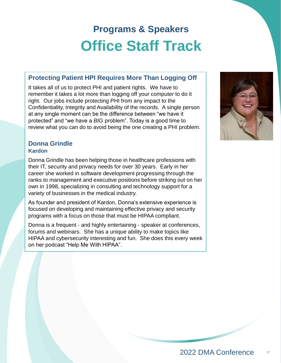### **Protecting Patient HPI Requires More Than Logging Off**

It takes all of us to protect PHI and patient rights. We have to remember it takes a lot more than logging off your computer to do it right. Our jobs include protecting PHI from any impact to the Confidentiality, Integrity and Availability of the records. A single person at any single moment can be the difference between "we have it protected" and "we have a *BIG* problem". Today is a good time to review what you can do to avoid being the one creating a PHI problem.

#### **Donna Grindle Kardon**

Donna Grindle has been helping those in healthcare professions with their IT, security and privacy needs for over 30 years. Early in her career she worked in software development progressing through the ranks to management and executive positions before striking out on her own in 1998, specializing in consulting and technology support for a variety of businesses in the medical industry.

As founder and president of Kardon, Donna's extensive experience is focused on developing and maintaining effective privacy and security programs with a focus on those that must be HIPAA compliant.

Donna is a frequent - and highly entertaining - speaker at conferences, forums and webinars. She has a unique ability to make topics like HIPAA and cybersecurity interesting and fun. She does this every week on her podcast "Help Me With HIPAA".

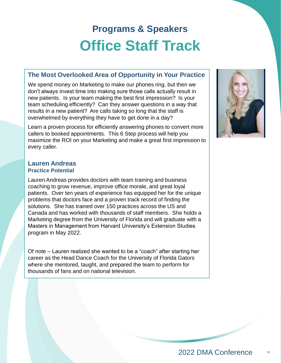#### **The Most Overlooked Area of Opportunity in Your Practice**

We spend money on Marketing to make our phones ring, but then we don't always invest time into making sure those calls actually result in new patients. Is your team making the best first impression? Is your team scheduling efficiently? Can they answer questions in a way that results in a new patient? Are calls taking so long that the staff is overwhelmed by everything they have to get done in a day?

Learn a proven process for efficiently answering phones to convert more callers to booked appointments. This 6 Step process will help you maximize the ROI on your Marketing and make a great first impression to every caller.

#### **Lauren Andreas Practice Potential**

Lauren Andreas provides doctors with team training and business coaching to grow revenue, improve office morale, and great loyal patients. Over ten years of experience has equipped her for the unique problems that doctors face and a proven track record of finding the solutions. She has trained over 150 practices across the US and Canada and has worked with thousands of staff members. She holds a Marketing degree from the University of Florida and will graduate with a Masters in Management from Harvard University's Extension Studies program in May 2022.

Of note – Lauren realized she wanted to be a "coach" after starting her career as the Head Dance Coach for the University of Florida Gators where she mentored, taught, and prepared the team to perform for thousands of fans and on national television.